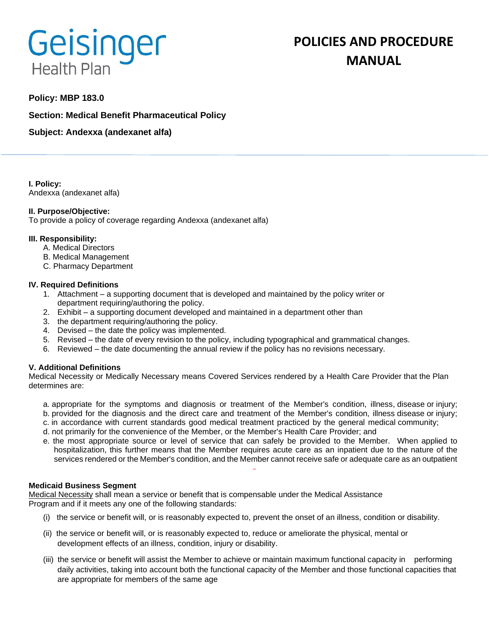# Geisinger **Health Plan**

# **POLICIES AND PROCEDURE MANUAL**

# **Policy: MBP 183.0**

**Section: Medical Benefit Pharmaceutical Policy**

**Subject: Andexxa (andexanet alfa)**

**I. Policy:** Andexxa (andexanet alfa)

# **II. Purpose/Objective:**

To provide a policy of coverage regarding Andexxa (andexanet alfa)

# **III. Responsibility:**

- A. Medical Directors
- B. Medical Management
- C. Pharmacy Department

# **IV. Required Definitions**

- 1. Attachment a supporting document that is developed and maintained by the policy writer or department requiring/authoring the policy.
- 2. Exhibit a supporting document developed and maintained in a department other than
- 3. the department requiring/authoring the policy.
- 4. Devised the date the policy was implemented.
- 5. Revised the date of every revision to the policy, including typographical and grammatical changes.
- 6. Reviewed the date documenting the annual review if the policy has no revisions necessary.

# **V. Additional Definitions**

Medical Necessity or Medically Necessary means Covered Services rendered by a Health Care Provider that the Plan determines are:

- a. appropriate for the symptoms and diagnosis or treatment of the Member's condition, illness, disease or injury; b. provided for the diagnosis and the direct care and treatment of the Member's condition, illness disease or injury;
- c. in accordance with current standards good medical treatment practiced by the general medical community;
- d. not primarily for the convenience of the Member, or the Member's Health Care Provider; and
- e. the most appropriate source or level of service that can safely be provided to the Member. When applied to hospitalization, this further means that the Member requires acute care as an inpatient due to the nature of the services rendered or the Member's condition, and the Member cannot receive safe or adequate care as an outpatient

#### **Medicaid Business Segment**

Medical Necessity shall mean a service or benefit that is compensable under the Medical Assistance Program and if it meets any one of the following standards:

- (i) the service or benefit will, or is reasonably expected to, prevent the onset of an illness, condition or disability.
- (ii) the service or benefit will, or is reasonably expected to, reduce or ameliorate the physical, mental or development effects of an illness, condition, injury or disability.
- (iii) the service or benefit will assist the Member to achieve or maintain maximum functional capacity in performing daily activities, taking into account both the functional capacity of the Member and those functional capacities that are appropriate for members of the same age